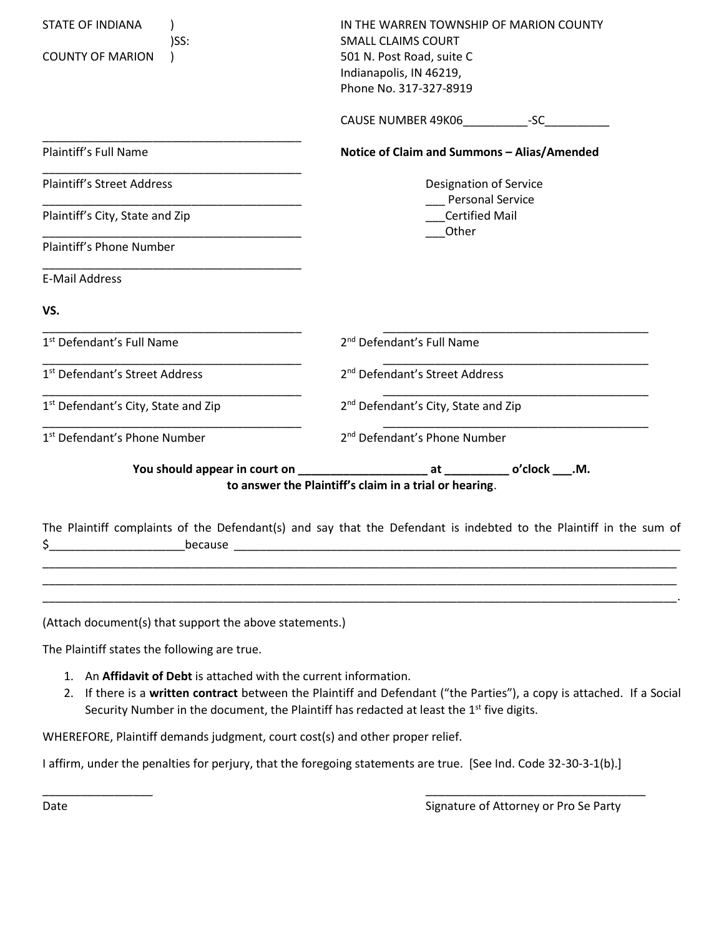| <b>STATE OF INDIANA</b>                                              | IN THE WARREN TOWNSHIP OF MARION COUNTY                                                                            |  |  |  |
|----------------------------------------------------------------------|--------------------------------------------------------------------------------------------------------------------|--|--|--|
| )SS:<br><b>COUNTY OF MARION</b>                                      | <b>SMALL CLAIMS COURT</b><br>501 N. Post Road, suite C<br>Indianapolis, IN 46219,<br>Phone No. 317-327-8919        |  |  |  |
|                                                                      |                                                                                                                    |  |  |  |
| Plaintiff's Full Name                                                | Notice of Claim and Summons - Alias/Amended                                                                        |  |  |  |
| <b>Plaintiff's Street Address</b>                                    | <b>Designation of Service</b>                                                                                      |  |  |  |
| Plaintiff's City, State and Zip                                      | <b>Personal Service</b><br><b>Certified Mail</b><br>Other                                                          |  |  |  |
| Plaintiff's Phone Number                                             |                                                                                                                    |  |  |  |
| <b>E-Mail Address</b>                                                |                                                                                                                    |  |  |  |
| VS.                                                                  |                                                                                                                    |  |  |  |
| 1 <sup>st</sup> Defendant's Full Name                                | 2 <sup>nd</sup> Defendant's Full Name                                                                              |  |  |  |
| 1 <sup>st</sup> Defendant's Street Address                           | 2 <sup>nd</sup> Defendant's Street Address                                                                         |  |  |  |
| 1st Defendant's City, State and Zip                                  | 2 <sup>nd</sup> Defendant's City, State and Zip                                                                    |  |  |  |
| 1 <sup>st</sup> Defendant's Phone Number                             | 2 <sup>nd</sup> Defendant's Phone Number                                                                           |  |  |  |
|                                                                      | to answer the Plaintiff's claim in a trial or hearing.                                                             |  |  |  |
| because                                                              | The Plaintiff complaints of the Defendant(s) and say that the Defendant is indebted to the Plaintiff in the sum of |  |  |  |
|                                                                      |                                                                                                                    |  |  |  |
| (Attach document(s) that support the above statements.)              |                                                                                                                    |  |  |  |
| The Plaintiff states the following are true.                         |                                                                                                                    |  |  |  |
| An Affidavit of Debt is attached with the current information.<br>1. |                                                                                                                    |  |  |  |

2. If there is a **written contract** between the Plaintiff and Defendant ("the Parties"), a copy is attached. If a Social Security Number in the document, the Plaintiff has redacted at least the 1<sup>st</sup> five digits.

WHEREFORE, Plaintiff demands judgment, court cost(s) and other proper relief.

I affirm, under the penalties for perjury, that the foregoing statements are true. [See Ind. Code 32-30-3-1(b).]

\_\_\_\_\_\_\_\_\_\_\_\_\_\_\_\_\_ \_\_\_\_\_\_\_\_\_\_\_\_\_\_\_\_\_\_\_\_\_\_\_\_\_\_\_\_\_\_\_\_\_\_

Date **Signature of Attorney or Pro Se Party**